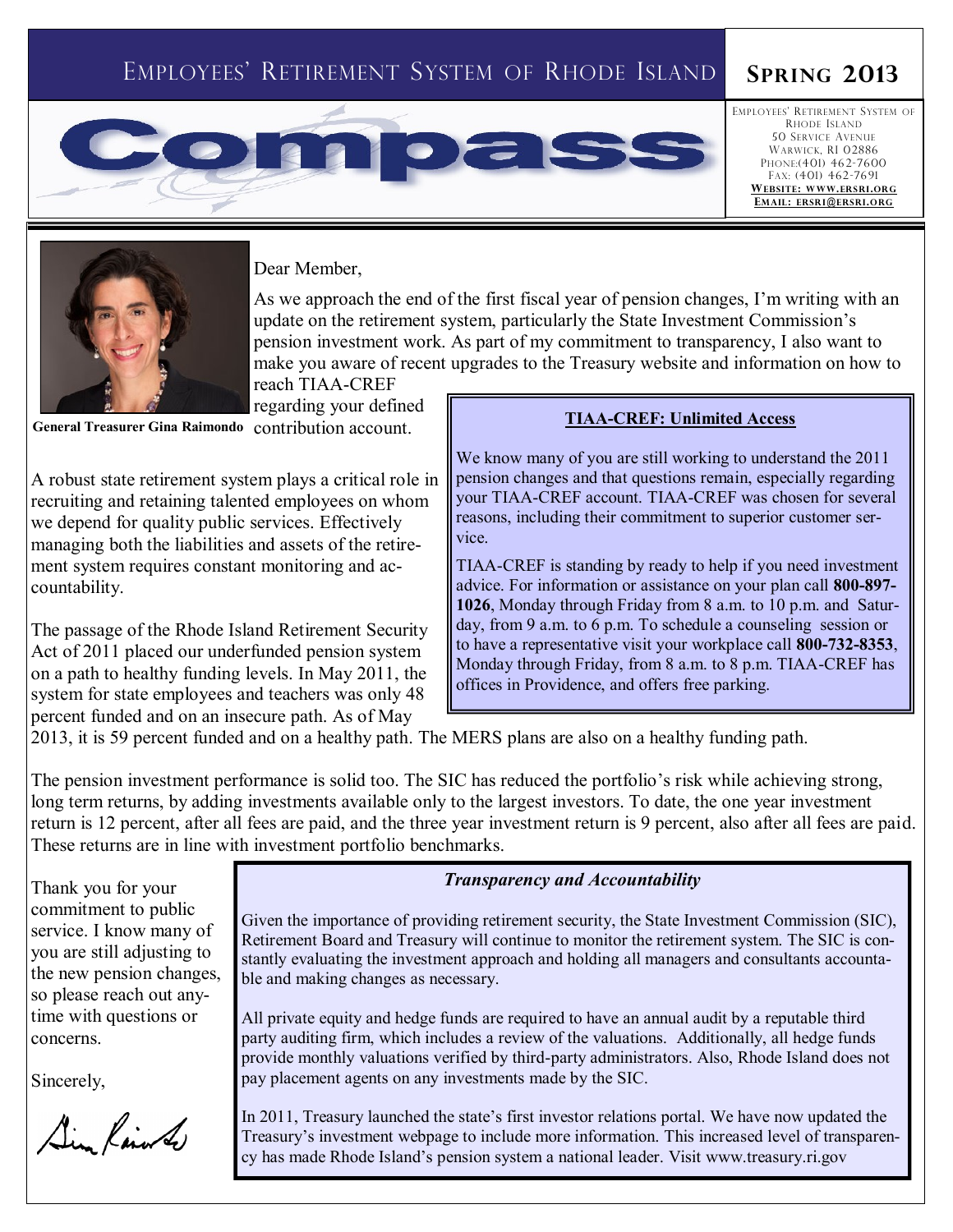# EMPLOYEES' RETIREMENT SYSTEM OF RHODE ISLAND **SPRING 2013**

# **OIRE**

EMPLOYEES' RETIREMENT SYSTEM OF RHODE ISLAND 50 SERVICE AVENUE WARWICK, RI 02886 PHONE:(401) 462-7600 FAX: (401) 462-7691 **WEB S ITE: WWW.ERS RI.ORG EMAIL: ERSR I@ERSRI.O RG**



Dear Member,

As we approach the end of the first fiscal year of pension changes, I'm writing with an update on the retirement system, particularly the State Investment Commission's pension investment work. As part of my commitment to transparency, I also want to make you aware of recent upgrades to the Treasury website and information on how to

reach TIAA-CREF regarding your defined

A robust state retirement system plays a critical role in recruiting and retaining talented employees on whom we depend for quality public services. Effectively managing both the liabilities and assets of the retirement system requires constant monitoring and accountability.

The passage of the Rhode Island Retirement Security Act of 2011 placed our underfunded pension system on a path to healthy funding levels. In May 2011, the system for state employees and teachers was only 48 percent funded and on an insecure path. As of May

# **General Treasurer Gina Raimondo** contribution account. TIAA-CREF: Unlimited Access

We know many of you are still working to understand the 2011 pension changes and that questions remain, especially regarding your TIAA-CREF account. TIAA-CREF was chosen for several reasons, including their commitment to superior customer service.

TIAA-CREF is standing by ready to help if you need investment advice. For information or assistance on your plan call **800-897- 1026**, Monday through Friday from 8 a.m. to 10 p.m. and Saturday, from 9 a.m. to 6 p.m. To schedule a counseling session or to have a representative visit your workplace call **800-732-8353**, Monday through Friday, from 8 a.m. to 8 p.m. TIAA-CREF has offices in Providence, and offers free parking.

2013, it is 59 percent funded and on a healthy path. The MERS plans are also on a healthy funding path.

The pension investment performance is solid too. The SIC has reduced the portfolio's risk while achieving strong, long term returns, by adding investments available only to the largest investors. To date, the one year investment return is 12 percent, after all fees are paid, and the three year investment return is 9 percent, also after all fees are paid. These returns are in line with investment portfolio benchmarks.

Thank you for your commitment to public service. I know many of you are still adjusting to the new pension changes, so please reach out anytime with questions or concerns.

Sincerely,

Sim Rained

### *Transparency and Accountability*

Given the importance of providing retirement security, the State Investment Commission (SIC), Retirement Board and Treasury will continue to monitor the retirement system. The SIC is constantly evaluating the investment approach and holding all managers and consultants accountable and making changes as necessary.

All private equity and hedge funds are required to have an annual audit by a reputable third party auditing firm, which includes a review of the valuations. Additionally, all hedge funds provide monthly valuations verified by third-party administrators. Also, Rhode Island does not pay placement agents on any investments made by the SIC.

In 2011, Treasury launched the state's first investor relations portal. We have now updated the Treasury's investment webpage to include more information. This increased level of transparency has made Rhode Island's pension system a national leader. Visit www.treasury.ri.gov